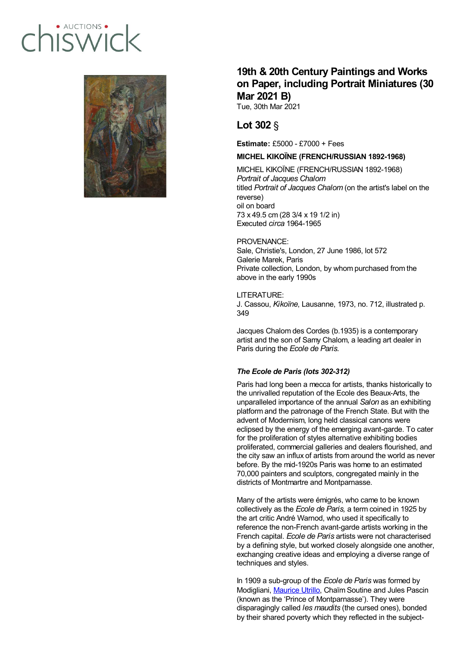# · AUCTIONS hiswic



## **19th & 20th Century Paintings and Works on Paper, including Portrait Miniatures (30 Mar 2021 B)**

Tue, 30th Mar 2021

## **Lot 302** §

**Estimate:** £5000 - £7000 + Fees

### **MICHEL KIKOÏNE (FRENCH/RUSSIAN 1892-1968)**

MICHEL KIKOÏNE (FRENCH/RUSSIAN 1892-1968) *Portrait of Jacques Chalom* titled *Portrait of Jacques Chalom* (on the artist's label on the reverse) oil on board 73 x 49.5 cm (28 3/4 x 19 1/2 in) Executed *circa* 1964-1965

#### PROVENANCE:

Sale, Christie's, London, 27 June 1986, lot 572 Galerie Marek, Paris Private collection, London, by whom purchased from the above in the early 1990s

LITERATURE:

J. Cassou, *Kikoïne*, Lausanne, 1973, no. 712, illustrated p. 349

Jacques Chalom des Cordes (b.1935) is a contemporary artist and the son of Samy Chalom, a leading art dealer in Paris during the *Ecole de Paris.*

#### *The Ecole de Paris (lots 302-312)*

Paris had long been a mecca for artists, thanks historically to the unrivalled reputation of the Ecole des Beaux-Arts, the unparalleled importance of the annual *Salon* as an exhibiting platform and the patronage of the French State. But with the advent of Modernism, long held classical canons were eclipsed by the energy of the emerging avant-garde. To cater for the proliferation of styles alternative exhibiting bodies proliferated, commercial galleries and dealers flourished, and the city saw an influx of artists from around the world as never before. By the mid-1920s Paris was home to an estimated 70,000 painters and sculptors, congregated mainly in the districts of Montmartre and Montparnasse.

Many of the artists were émigrés, who came to be known collectively as the *Ecole de Paris,* a term coined in 1925 by the art critic André Warnod, who used it specifically to reference the non-French avant-garde artists working in the French capital. *Ecole de Paris* artists were not characterised by a defining style, but worked closely alongside one another, exchanging creative ideas and employing a diverse range of techniques and styles.

In 1909 a sub-group of the *Ecole de Paris* was formed by Modigliani, [Maurice](about:blank) Utrillo, Chaïm Soutine and Jules Pascin (known as the 'Prince of Montparnasse'). They were disparagingly called *les maudits* (the cursed ones), bonded by their shared poverty which they reflected in the subject-